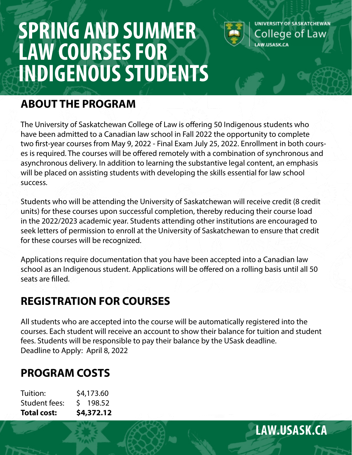# **SPRING AND SUMMER LAW COURSES FOR INDIGENOUS STUDENTS**



### **ABOUT THE PROGRAM**

The University of Saskatchewan College of Law is offering 50 Indigenous students who have been admitted to a Canadian law school in Fall 2022 the opportunity to complete two first-year courses from May 9, 2022 - Final Exam July 25, 2022. Enrollment in both courses is required. The courses will be offered remotely with a combination of synchronous and asynchronous delivery. In addition to learning the substantive legal content, an emphasis will be placed on assisting students with developing the skills essential for law school success.

Students who will be attending the University of Saskatchewan will receive credit (8 credit units) for these courses upon successful completion, thereby reducing their course load in the 2022/2023 academic year. Students attending other institutions are encouraged to seek letters of permission to enroll at the University of Saskatchewan to ensure that credit for these courses will be recognized.

Applications require documentation that you have been accepted into a Canadian law school as an Indigenous student. Applications will be offered on a rolling basis until all 50 seats are filled.

## **REGISTRATION FOR COURSES**

All students who are accepted into the course will be automatically registered into the courses. Each student will receive an account to show their balance for tuition and student fees. Students will be responsible to pay their balance by the USask deadline. Deadline to Apply: April 8, 2022

# **PROGRAM COSTS**

| \$4,372.12 |
|------------|
| $5$ 198.52 |
| \$4,173.60 |
|            |